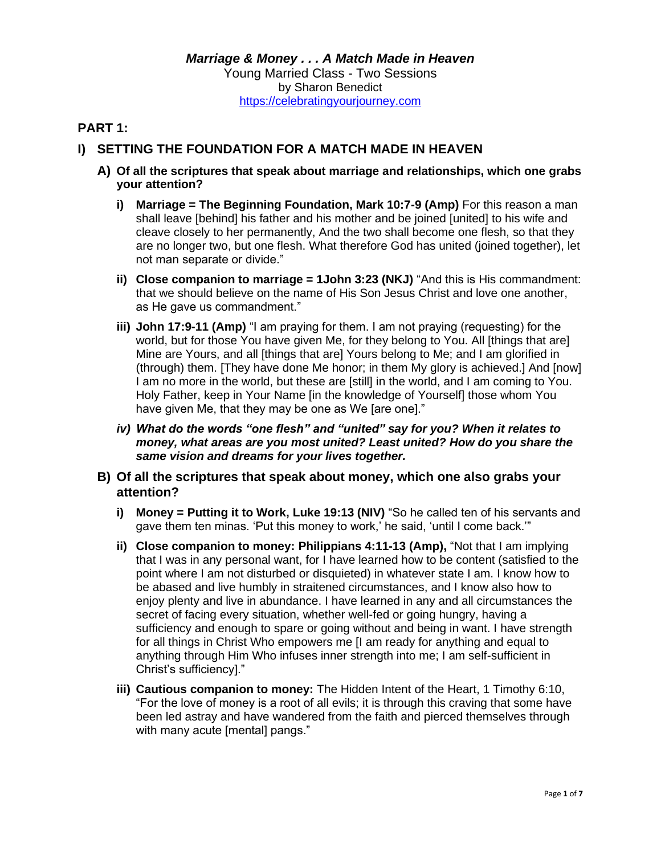## **PART 1:**

## **I) SETTING THE FOUNDATION FOR A MATCH MADE IN HEAVEN**

- **A) Of all the scriptures that speak about marriage and relationships, which one grabs your attention?**
	- **i) Marriage = The Beginning Foundation, Mark 10:7-9 (Amp)** For this reason a man shall leave [behind] his father and his mother and be joined [united] to his wife and cleave closely to her permanently, And the two shall become one flesh, so that they are no longer two, but one flesh. What therefore God has united (joined together), let not man separate or divide."
	- **ii) Close companion to marriage = 1John 3:23 (NKJ)** "And this is His commandment: that we should believe on the name of His Son Jesus Christ and love one another, as He gave us commandment."
	- **iii) John 17:9-11 (Amp)** "I am praying for them. I am not praying (requesting) for the world, but for those You have given Me, for they belong to You. All [things that are] Mine are Yours, and all [things that are] Yours belong to Me; and I am glorified in (through) them. [They have done Me honor; in them My glory is achieved.] And [now] I am no more in the world, but these are [still] in the world, and I am coming to You. Holy Father, keep in Your Name [in the knowledge of Yourself] those whom You have given Me, that they may be one as We [are one]."
	- *iv) What do the words "one flesh" and "united" say for you? When it relates to money, what areas are you most united? Least united? How do you share the same vision and dreams for your lives together.*
- **B) Of all the scriptures that speak about money, which one also grabs your attention?**
	- **i) Money = Putting it to Work, Luke 19:13 (NIV)** "So he called ten of his servants and gave them ten minas. 'Put this money to work,' he said, 'until I come back.'"
	- **ii)** Close companion to money: Philippians 4:11-13 (Amp), "Not that I am implying that I was in any personal want, for I have learned how to be content (satisfied to the point where I am not disturbed or disquieted) in whatever state I am. I know how to be abased and live humbly in straitened circumstances, and I know also how to enjoy plenty and live in abundance. I have learned in any and all circumstances the secret of facing every situation, whether well-fed or going hungry, having a sufficiency and enough to spare or going without and being in want. I have strength for all things in Christ Who empowers me [I am ready for anything and equal to anything through Him Who infuses inner strength into me; I am self-sufficient in Christ's sufficiency]."
	- **iii) Cautious companion to money:** The Hidden Intent of the Heart, 1 Timothy 6:10, "For the love of money is a root of all evils; it is through this craving that some have been led astray and have wandered from the faith and pierced themselves through with many acute [mental] pangs."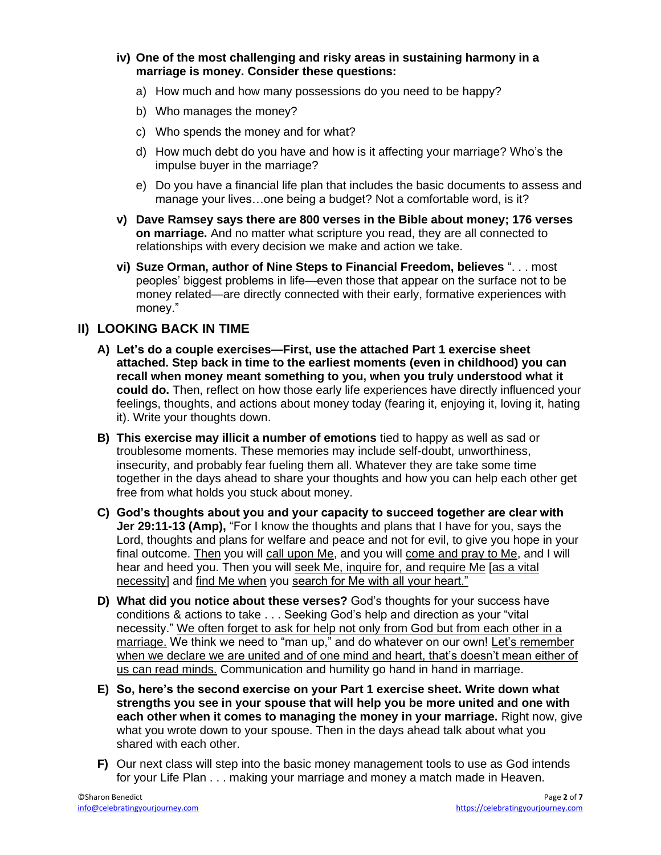- **iv) One of the most challenging and risky areas in sustaining harmony in a marriage is money. Consider these questions:**
	- a) How much and how many possessions do you need to be happy?
	- b) Who manages the money?
	- c) Who spends the money and for what?
	- d) How much debt do you have and how is it affecting your marriage? Who's the impulse buyer in the marriage?
	- e) Do you have a financial life plan that includes the basic documents to assess and manage your lives…one being a budget? Not a comfortable word, is it?
- **v) Dave Ramsey says there are 800 verses in the Bible about money; 176 verses on marriage.** And no matter what scripture you read, they are all connected to relationships with every decision we make and action we take.
- **vi) Suze Orman, author of Nine Steps to Financial Freedom, believes** ". . . most peoples' biggest problems in life—even those that appear on the surface not to be money related—are directly connected with their early, formative experiences with money."

### **II) LOOKING BACK IN TIME**

- **A) Let's do a couple exercises—First, use the attached Part 1 exercise sheet attached. Step back in time to the earliest moments (even in childhood) you can recall when money meant something to you, when you truly understood what it could do.** Then, reflect on how those early life experiences have directly influenced your feelings, thoughts, and actions about money today (fearing it, enjoying it, loving it, hating it). Write your thoughts down.
- **B) This exercise may illicit a number of emotions** tied to happy as well as sad or troublesome moments. These memories may include self-doubt, unworthiness, insecurity, and probably fear fueling them all. Whatever they are take some time together in the days ahead to share your thoughts and how you can help each other get free from what holds you stuck about money.
- **C) God's thoughts about you and your capacity to succeed together are clear with Jer 29:11-13 (Amp),** "For I know the thoughts and plans that I have for you, says the Lord, thoughts and plans for welfare and peace and not for evil, to give you hope in your final outcome. Then you will call upon Me, and you will come and pray to Me, and I will hear and heed you. Then you will seek Me, inquire for, and require Me [as a vital necessity] and find Me when you search for Me with all your heart."
- **D) What did you notice about these verses?** God's thoughts for your success have conditions & actions to take . . . Seeking God's help and direction as your "vital necessity." We often forget to ask for help not only from God but from each other in a marriage. We think we need to "man up," and do whatever on our own! Let's remember when we declare we are united and of one mind and heart, that's doesn't mean either of us can read minds. Communication and humility go hand in hand in marriage.
- **E) So, here's the second exercise on your Part 1 exercise sheet. Write down what strengths you see in your spouse that will help you be more united and one with each other when it comes to managing the money in your marriage.** Right now, give what you wrote down to your spouse. Then in the days ahead talk about what you shared with each other.
- **F)** Our next class will step into the basic money management tools to use as God intends for your Life Plan . . . making your marriage and money a match made in Heaven.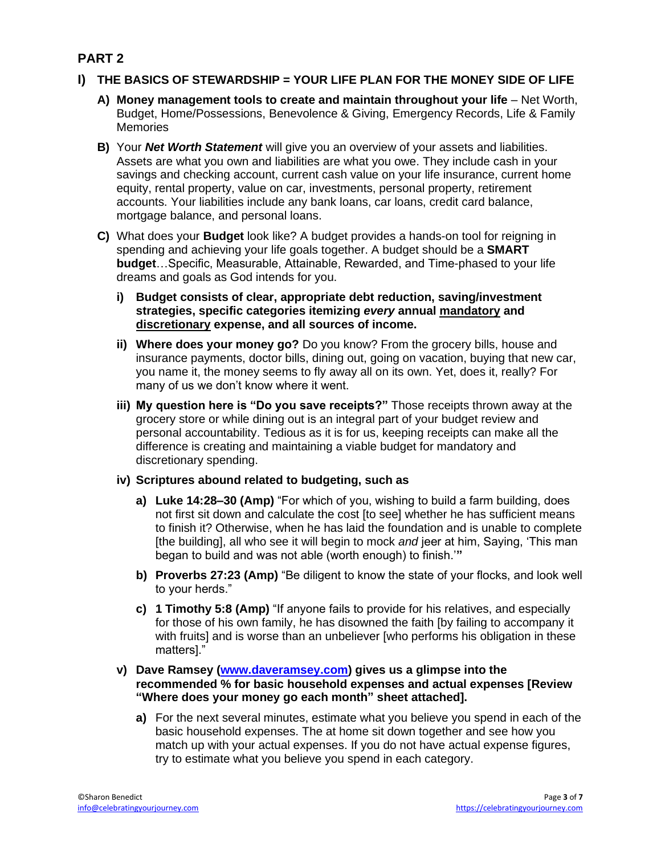## **PART 2**

#### **I) THE BASICS OF STEWARDSHIP = YOUR LIFE PLAN FOR THE MONEY SIDE OF LIFE**

- A) Money management tools to create and maintain throughout your life Net Worth, Budget, Home/Possessions, Benevolence & Giving, Emergency Records, Life & Family Memories
- **B)** Your *Net Worth Statement* will give you an overview of your assets and liabilities. Assets are what you own and liabilities are what you owe. They include cash in your savings and checking account, current cash value on your life insurance, current home equity, rental property, value on car, investments, personal property, retirement accounts. Your liabilities include any bank loans, car loans, credit card balance, mortgage balance, and personal loans.
- **C)** What does your **Budget** look like? A budget provides a hands-on tool for reigning in spending and achieving your life goals together. A budget should be a **SMART budget**…Specific, Measurable, Attainable, Rewarded, and Time-phased to your life dreams and goals as God intends for you.
	- **i) Budget consists of clear, appropriate debt reduction, saving/investment strategies, specific categories itemizing** *every* **annual mandatory and discretionary expense, and all sources of income.**
	- **ii) Where does your money go?** Do you know? From the grocery bills, house and insurance payments, doctor bills, dining out, going on vacation, buying that new car, you name it, the money seems to fly away all on its own. Yet, does it, really? For many of us we don't know where it went.
	- **iii) My question here is "Do you save receipts?"** Those receipts thrown away at the grocery store or while dining out is an integral part of your budget review and personal accountability. Tedious as it is for us, keeping receipts can make all the difference is creating and maintaining a viable budget for mandatory and discretionary spending.
	- **iv) Scriptures abound related to budgeting, such as** 
		- **a) Luke 14:28–30 (Amp)** "For which of you, wishing to build a farm building, does not first sit down and calculate the cost [to see] whether he has sufficient means to finish it? Otherwise, when he has laid the foundation and is unable to complete [the building], all who see it will begin to mock *and* jeer at him, Saying, 'This man began to build and was not able (worth enough) to finish.'**"**
		- **b) Proverbs 27:23 (Amp)** "Be diligent to know the state of your flocks, and look well to your herds."
		- **c) 1 Timothy 5:8 (Amp)** "If anyone fails to provide for his relatives, and especially for those of his own family, he has disowned the faith [by failing to accompany it with fruits] and is worse than an unbeliever [who performs his obligation in these matters]."
	- **v) Dave Ramsey [\(www.daveramsey.com\)](www.daveramsey.com) gives us a glimpse into the recommended % for basic household expenses and actual expenses [Review "Where does your money go each month" sheet attached].** 
		- **a)** For the next several minutes, estimate what you believe you spend in each of the basic household expenses. The at home sit down together and see how you match up with your actual expenses. If you do not have actual expense figures, try to estimate what you believe you spend in each category.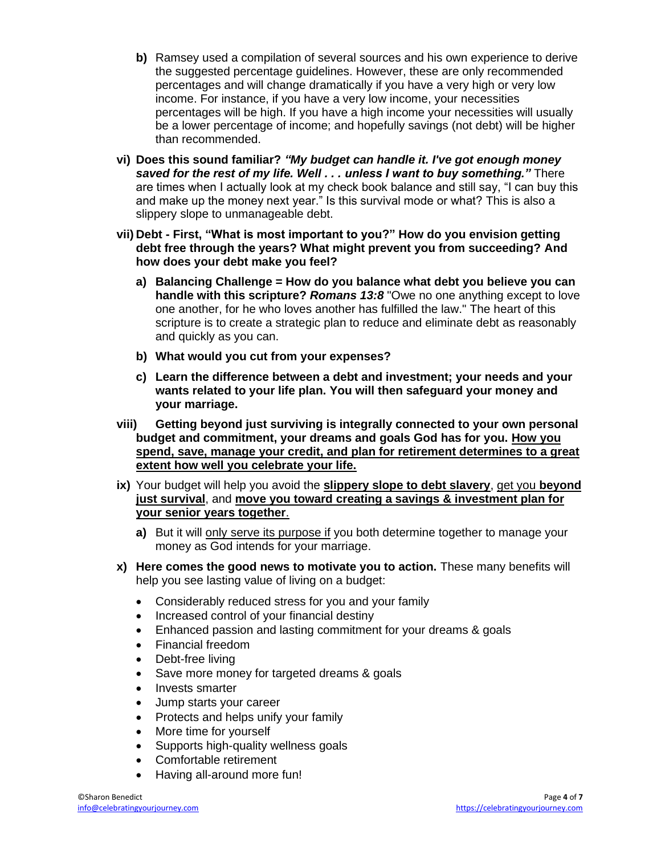- **b)** Ramsey used a compilation of several sources and his own experience to derive the suggested percentage guidelines. However, these are only recommended percentages and will change dramatically if you have a very high or very low income. For instance, if you have a very low income, your necessities percentages will be high. If you have a high income your necessities will usually be a lower percentage of income; and hopefully savings (not debt) will be higher than recommended.
- **vi) Does this sound familiar?** *"My budget can handle it. I've got enough money saved for the rest of my life. Well . . . unless I want to buy something."* There are times when I actually look at my check book balance and still say, "I can buy this and make up the money next year." Is this survival mode or what? This is also a slippery slope to unmanageable debt.
- **vii) Debt - First, "What is most important to you?" How do you envision getting debt free through the years? What might prevent you from succeeding? And how does your debt make you feel?** 
	- **a) Balancing Challenge = How do you balance what debt you believe you can handle with this scripture?** *Romans 13:8* "Owe no one anything except to love one another, for he who loves another has fulfilled the law." The heart of this scripture is to create a strategic plan to reduce and eliminate debt as reasonably and quickly as you can.
	- **b) What would you cut from your expenses?**
	- **c) Learn the difference between a debt and investment; your needs and your wants related to your life plan. You will then safeguard your money and your marriage.**
- **viii) Getting beyond just surviving is integrally connected to your own personal budget and commitment, your dreams and goals God has for you. How you spend, save, manage your credit, and plan for retirement determines to a great extent how well you celebrate your life.**
- **ix)** Your budget will help you avoid the **slippery slope to debt slavery**, get you **beyond just survival**, and **move you toward creating a savings & investment plan for your senior years together**.
	- **a)** But it will only serve its purpose if you both determine together to manage your money as God intends for your marriage.
- **x) Here comes the good news to motivate you to action.** These many benefits will help you see lasting value of living on a budget:
	- Considerably reduced stress for you and your family
	- Increased control of your financial destiny
	- Enhanced passion and lasting commitment for your dreams & goals
	- Financial freedom
	- Debt-free living
	- Save more money for targeted dreams & goals
	- Invests smarter
	- Jump starts your career
	- Protects and helps unify your family
	- More time for yourself
	- Supports high-quality wellness goals
	- Comfortable retirement
	- Having all-around more fun!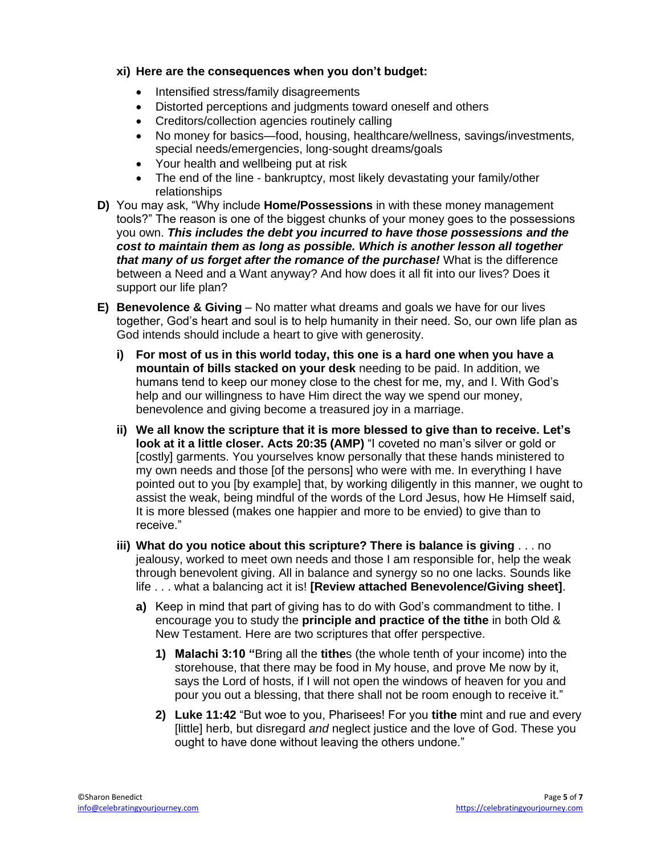#### **xi) Here are the consequences when you don't budget:**

- Intensified stress/family disagreements
- Distorted perceptions and judgments toward oneself and others
- Creditors/collection agencies routinely calling
- No money for basics—food, housing, healthcare/wellness, savings/investments, special needs/emergencies, long-sought dreams/goals
- Your health and wellbeing put at risk
- The end of the line bankruptcy, most likely devastating your family/other relationships
- **D)** You may ask, "Why include **Home/Possessions** in with these money management tools?" The reason is one of the biggest chunks of your money goes to the possessions you own. *This includes the debt you incurred to have those possessions and the cost to maintain them as long as possible. Which is another lesson all together that many of us forget after the romance of the purchase!* What is the difference between a Need and a Want anyway? And how does it all fit into our lives? Does it support our life plan?
- **E) Benevolence & Giving**  No matter what dreams and goals we have for our lives together, God's heart and soul is to help humanity in their need. So, our own life plan as God intends should include a heart to give with generosity.
	- **i) For most of us in this world today, this one is a hard one when you have a mountain of bills stacked on your desk** needing to be paid. In addition, we humans tend to keep our money close to the chest for me, my, and I. With God's help and our willingness to have Him direct the way we spend our money, benevolence and giving become a treasured joy in a marriage.
	- **ii) We all know the scripture that it is more blessed to give than to receive. Let's look at it a little closer. Acts 20:35 (AMP)** "I coveted no man's silver or gold or [costly] garments. You yourselves know personally that these hands ministered to my own needs and those [of the persons] who were with me. In everything I have pointed out to you [by example] that, by working diligently in this manner, we ought to assist the weak, being mindful of the words of the Lord Jesus, how He Himself said, It is more blessed (makes one happier and more to be envied) to give than to receive."
	- **iii) What do you notice about this scripture? There is balance is giving** . . . no jealousy, worked to meet own needs and those I am responsible for, help the weak through benevolent giving. All in balance and synergy so no one lacks. Sounds like life . . . what a balancing act it is! **[Review attached Benevolence/Giving sheet]**.
		- **a)** Keep in mind that part of giving has to do with God's commandment to tithe. I encourage you to study the **principle and practice of the tithe** in both Old & New Testament. Here are two scriptures that offer perspective.
			- **1) Malachi 3:10 "**Bring all the **tithe**s (the whole tenth of your income) into the storehouse, that there may be food in My house, and prove Me now by it, says the Lord of hosts, if I will not open the windows of heaven for you and pour you out a blessing, that there shall not be room enough to receive it."
			- **2) Luke 11:42** "But woe to you, Pharisees! For you **tithe** mint and rue and every [little] herb, but disregard *and* neglect justice and the love of God. These you ought to have done without leaving the others undone."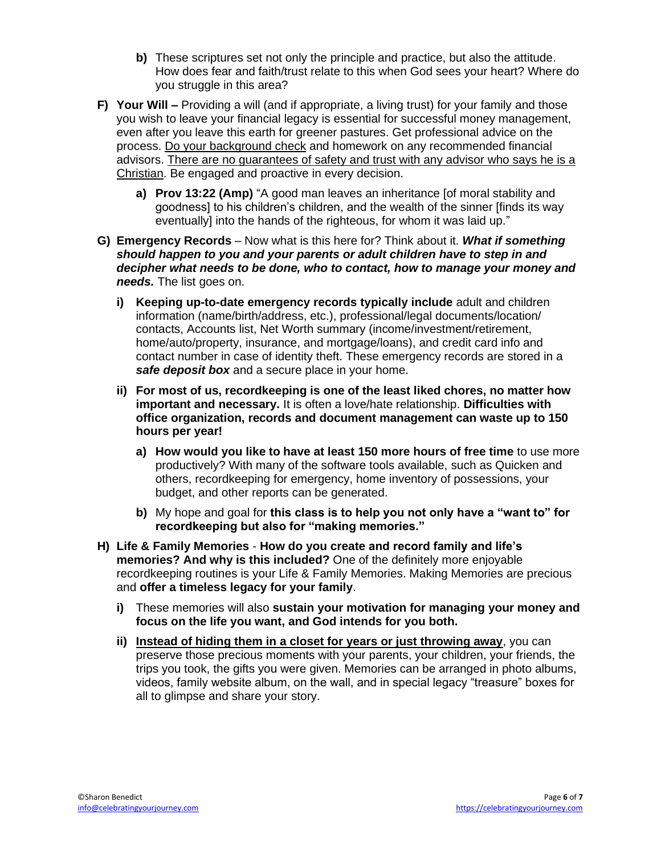- **b)** These scriptures set not only the principle and practice, but also the attitude. How does fear and faith/trust relate to this when God sees your heart? Where do you struggle in this area?
- **F) Your Will –** Providing a will (and if appropriate, a living trust) for your family and those you wish to leave your financial legacy is essential for successful money management, even after you leave this earth for greener pastures. Get professional advice on the process. Do your background check and homework on any recommended financial advisors. There are no guarantees of safety and trust with any advisor who says he is a Christian. Be engaged and proactive in every decision.
	- **a) Prov 13:22 (Amp)** "A good man leaves an inheritance [of moral stability and goodness] to his children's children, and the wealth of the sinner [finds its way eventually] into the hands of the righteous, for whom it was laid up."
- **G) Emergency Records**  Now what is this here for? Think about it. *What if something should happen to you and your parents or adult children have to step in and decipher what needs to be done, who to contact, how to manage your money and needs.* The list goes on.
	- **i) Keeping up-to-date emergency records typically include** adult and children information (name/birth/address, etc.), professional/legal documents/location/ contacts, Accounts list, Net Worth summary (income/investment/retirement, home/auto/property, insurance, and mortgage/loans), and credit card info and contact number in case of identity theft. These emergency records are stored in a *safe deposit box* and a secure place in your home.
	- **ii) For most of us, recordkeeping is one of the least liked chores, no matter how important and necessary.** It is often a love/hate relationship. **Difficulties with office organization, records and document management can waste up to 150 hours per year!**
		- **a) How would you like to have at least 150 more hours of free time** to use more productively? With many of the software tools available, such as Quicken and others, recordkeeping for emergency, home inventory of possessions, your budget, and other reports can be generated.
		- **b)** My hope and goal for **this class is to help you not only have a "want to" for recordkeeping but also for "making memories."**
- **H) Life & Family Memories How do you create and record family and life's memories? And why is this included?** One of the definitely more enjoyable recordkeeping routines is your Life & Family Memories. Making Memories are precious and **offer a timeless legacy for your family**.
	- **i)** These memories will also **sustain your motivation for managing your money and focus on the life you want, and God intends for you both.**
	- **ii) Instead of hiding them in a closet for years or just throwing away**, you can preserve those precious moments with your parents, your children, your friends, the trips you took, the gifts you were given. Memories can be arranged in photo albums, videos, family website album, on the wall, and in special legacy "treasure" boxes for all to glimpse and share your story.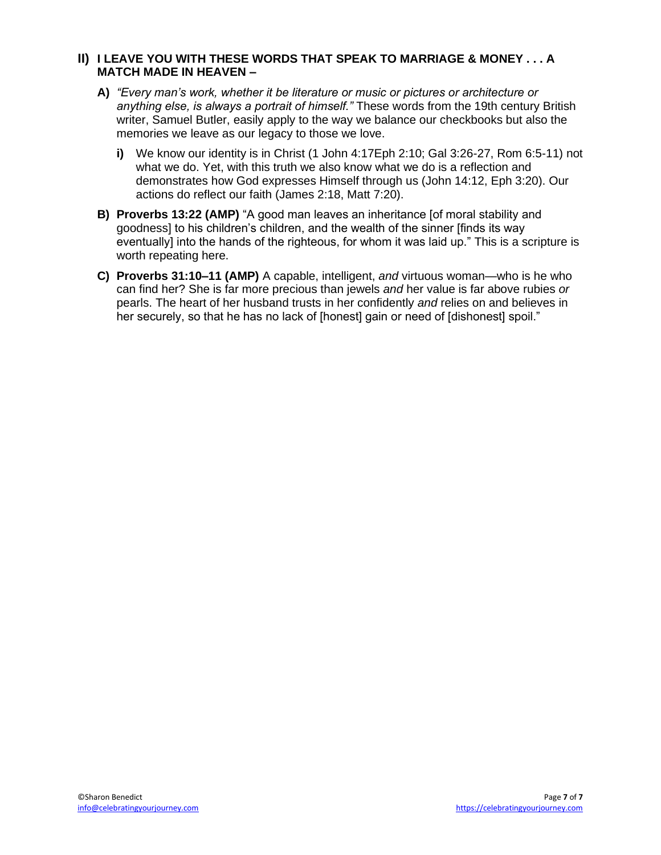#### **II) I LEAVE YOU WITH THESE WORDS THAT SPEAK TO MARRIAGE & MONEY . . . A MATCH MADE IN HEAVEN –**

- **A)** *"Every man's work, whether it be literature or music or pictures or architecture or anything else, is always a portrait of himself."* These words from the 19th century British writer, Samuel Butler, easily apply to the way we balance our checkbooks but also the memories we leave as our legacy to those we love.
	- **i)** We know our identity is in Christ (1 John 4:17Eph 2:10; Gal 3:26-27, Rom 6:5-11) not what we do. Yet, with this truth we also know what we do is a reflection and demonstrates how God expresses Himself through us (John 14:12, Eph 3:20). Our actions do reflect our faith (James 2:18, Matt 7:20).
- **B) Proverbs 13:22 (AMP)** "A good man leaves an inheritance [of moral stability and goodness] to his children's children, and the wealth of the sinner [finds its way eventually] into the hands of the righteous, for whom it was laid up." This is a scripture is worth repeating here.
- **C) Proverbs 31:10–11 (AMP)** A capable, intelligent, *and* virtuous woman—who is he who can find her? She is far more precious than jewels *and* her value is far above rubies *or* pearls. The heart of her husband trusts in her confidently *and* relies on and believes in her securely, so that he has no lack of [honest] gain or need of [dishonest] spoil."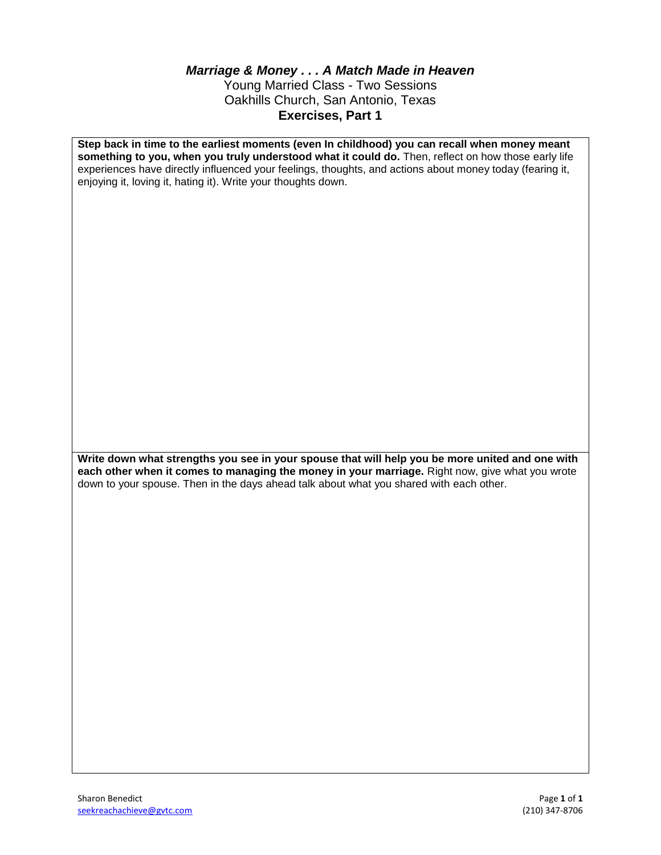#### *Marriage & Money . . . A Match Made in Heaven* Young Married Class - Two Sessions Oakhills Church, San Antonio, Texas **Exercises, Part 1**

**Step back in time to the earliest moments (even In childhood) you can recall when money meant something to you, when you truly understood what it could do.** Then, reflect on how those early life experiences have directly influenced your feelings, thoughts, and actions about money today (fearing it, enjoying it, loving it, hating it). Write your thoughts down.

**Write down what strengths you see in your spouse that will help you be more united and one with each other when it comes to managing the money in your marriage.** Right now, give what you wrote down to your spouse. Then in the days ahead talk about what you shared with each other.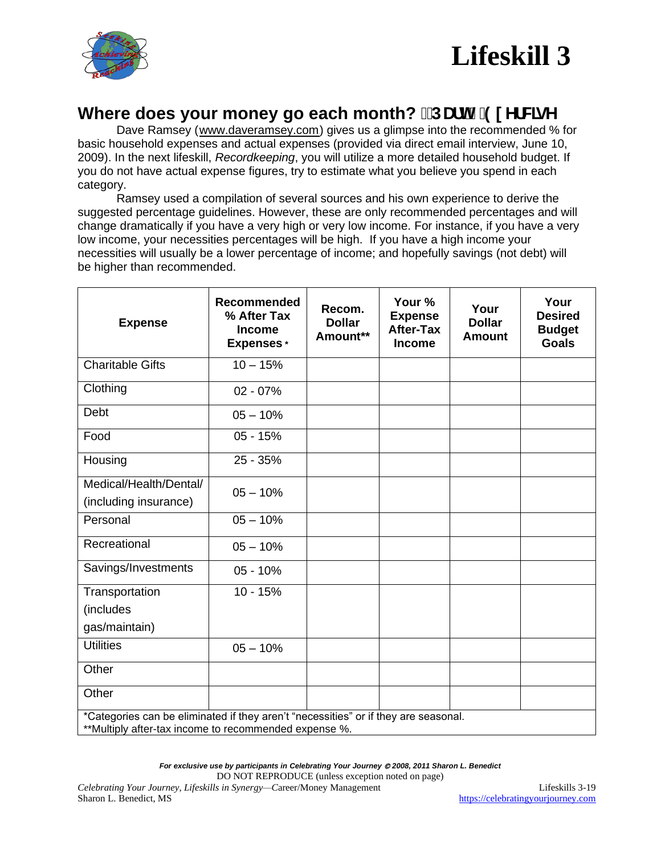

# **Where does your money go each month? ! DUTH&9I YFWGY**

Dave Ramsey ([www.daveramsey.com](http://www.daveramsey.com/)) gives us a glimpse into the recommended % for basic household expenses and actual expenses (provided via direct email interview, June 10, 2009). In the next lifeskill, *Recordkeeping*, you will utilize a more detailed household budget. If you do not have actual expense figures, try to estimate what you believe you spend in each category.

Ramsey used a compilation of several sources and his own experience to derive the suggested percentage guidelines. However, these are only recommended percentages and will change dramatically if you have a very high or very low income. For instance, if you have a very low income, your necessities percentages will be high. If you have a high income your necessities will usually be a lower percentage of income; and hopefully savings (not debt) will be higher than recommended.

| <b>Expense</b>                                                                                                                               | Recommended<br>% After Tax<br><b>Income</b><br><b>Expenses</b> * | Recom.<br><b>Dollar</b><br>Amount** | Your %<br><b>Expense</b><br><b>After-Tax</b><br><b>Income</b> | Your<br><b>Dollar</b><br><b>Amount</b> | Your<br><b>Desired</b><br><b>Budget</b><br><b>Goals</b> |
|----------------------------------------------------------------------------------------------------------------------------------------------|------------------------------------------------------------------|-------------------------------------|---------------------------------------------------------------|----------------------------------------|---------------------------------------------------------|
| <b>Charitable Gifts</b>                                                                                                                      | $10 - 15%$                                                       |                                     |                                                               |                                        |                                                         |
| Clothing                                                                                                                                     | $02 - 07%$                                                       |                                     |                                                               |                                        |                                                         |
| Debt                                                                                                                                         | $05 - 10%$                                                       |                                     |                                                               |                                        |                                                         |
| Food                                                                                                                                         | $05 - 15%$                                                       |                                     |                                                               |                                        |                                                         |
| Housing                                                                                                                                      | 25 - 35%                                                         |                                     |                                                               |                                        |                                                         |
| Medical/Health/Dental/<br>(including insurance)                                                                                              | $05 - 10%$                                                       |                                     |                                                               |                                        |                                                         |
| Personal                                                                                                                                     | $05 - 10%$                                                       |                                     |                                                               |                                        |                                                         |
| Recreational                                                                                                                                 | $05 - 10%$                                                       |                                     |                                                               |                                        |                                                         |
| Savings/Investments                                                                                                                          | $05 - 10%$                                                       |                                     |                                                               |                                        |                                                         |
| Transportation<br>(includes                                                                                                                  | $10 - 15%$                                                       |                                     |                                                               |                                        |                                                         |
| gas/maintain)                                                                                                                                |                                                                  |                                     |                                                               |                                        |                                                         |
| <b>Utilities</b>                                                                                                                             | $05 - 10%$                                                       |                                     |                                                               |                                        |                                                         |
| Other                                                                                                                                        |                                                                  |                                     |                                                               |                                        |                                                         |
| Other                                                                                                                                        |                                                                  |                                     |                                                               |                                        |                                                         |
| *Categories can be eliminated if they aren't "necessities" or if they are seasonal.<br>**Multiply after-tax income to recommended expense %. |                                                                  |                                     |                                                               |                                        |                                                         |

*For exclusive use by participants in Celebrating Your Journey* © *2008, 2011 Sharon L. Benedict*

DO NOT REPRODUCE (unless exception noted on page)